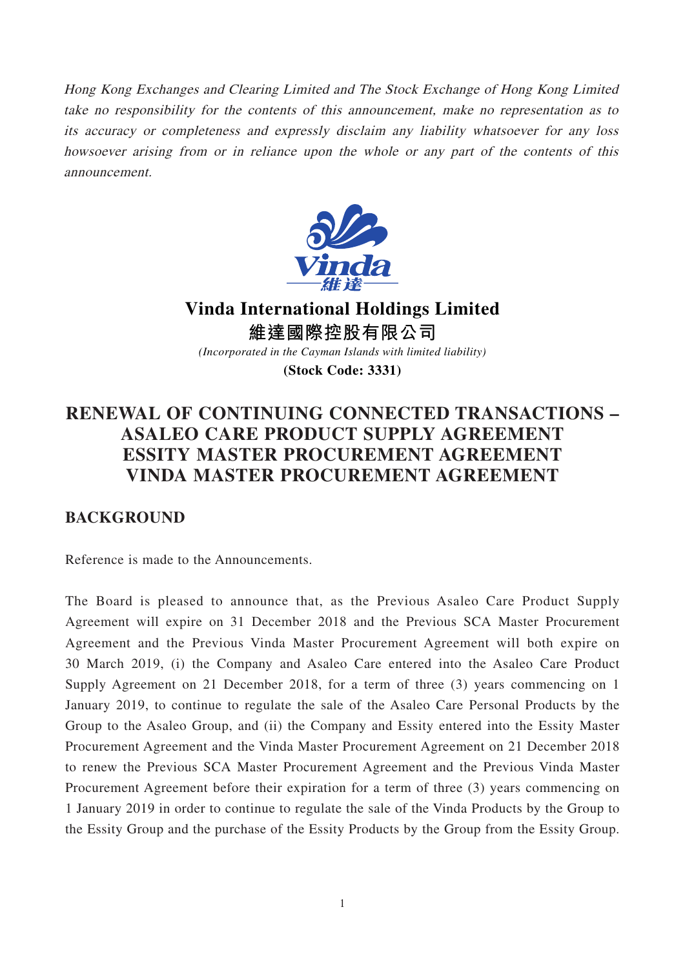Hong Kong Exchanges and Clearing Limited and The Stock Exchange of Hong Kong Limited take no responsibility for the contents of this announcement, make no representation as to its accuracy or completeness and expressly disclaim any liability whatsoever for any loss howsoever arising from or in reliance upon the whole or any part of the contents of this announcement.



**Vinda International Holdings Limited 維達國際控股有限公司** *(Incorporated in the Cayman Islands with limited liability)*

**(Stock Code: 3331)**

# **RENEWAL OF CONTINUING CONNECTED TRANSACTIONS – ASALEO CARE PRODUCT SUPPLY AGREEMENT ESSITY MASTER PROCUREMENT AGREEMENT VINDA MASTER PROCUREMENT AGREEMENT**

## **BACKGROUND**

Reference is made to the Announcements.

The Board is pleased to announce that, as the Previous Asaleo Care Product Supply Agreement will expire on 31 December 2018 and the Previous SCA Master Procurement Agreement and the Previous Vinda Master Procurement Agreement will both expire on 30 March 2019, (i) the Company and Asaleo Care entered into the Asaleo Care Product Supply Agreement on 21 December 2018, for a term of three (3) years commencing on 1 January 2019, to continue to regulate the sale of the Asaleo Care Personal Products by the Group to the Asaleo Group, and (ii) the Company and Essity entered into the Essity Master Procurement Agreement and the Vinda Master Procurement Agreement on 21 December 2018 to renew the Previous SCA Master Procurement Agreement and the Previous Vinda Master Procurement Agreement before their expiration for a term of three (3) years commencing on 1 January 2019 in order to continue to regulate the sale of the Vinda Products by the Group to the Essity Group and the purchase of the Essity Products by the Group from the Essity Group.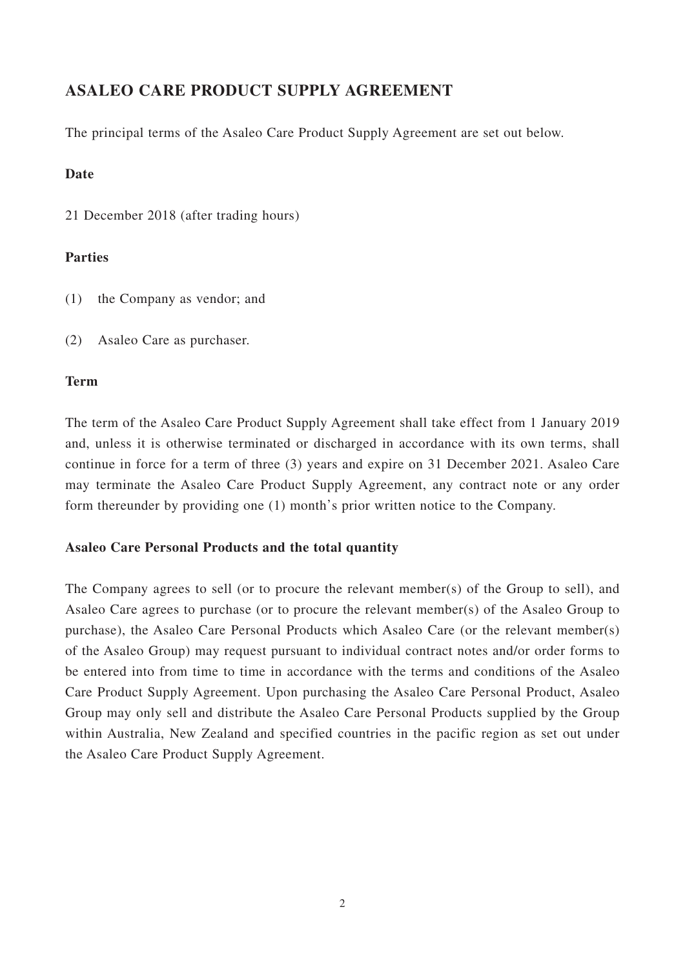# **ASALEO CARE PRODUCT SUPPLY AGREEMENT**

The principal terms of the Asaleo Care Product Supply Agreement are set out below.

## **Date**

21 December 2018 (after trading hours)

## **Parties**

- (1) the Company as vendor; and
- (2) Asaleo Care as purchaser.

## **Term**

The term of the Asaleo Care Product Supply Agreement shall take effect from 1 January 2019 and, unless it is otherwise terminated or discharged in accordance with its own terms, shall continue in force for a term of three (3) years and expire on 31 December 2021. Asaleo Care may terminate the Asaleo Care Product Supply Agreement, any contract note or any order form thereunder by providing one (1) month's prior written notice to the Company.

## **Asaleo Care Personal Products and the total quantity**

The Company agrees to sell (or to procure the relevant member(s) of the Group to sell), and Asaleo Care agrees to purchase (or to procure the relevant member(s) of the Asaleo Group to purchase), the Asaleo Care Personal Products which Asaleo Care (or the relevant member(s) of the Asaleo Group) may request pursuant to individual contract notes and/or order forms to be entered into from time to time in accordance with the terms and conditions of the Asaleo Care Product Supply Agreement. Upon purchasing the Asaleo Care Personal Product, Asaleo Group may only sell and distribute the Asaleo Care Personal Products supplied by the Group within Australia, New Zealand and specified countries in the pacific region as set out under the Asaleo Care Product Supply Agreement.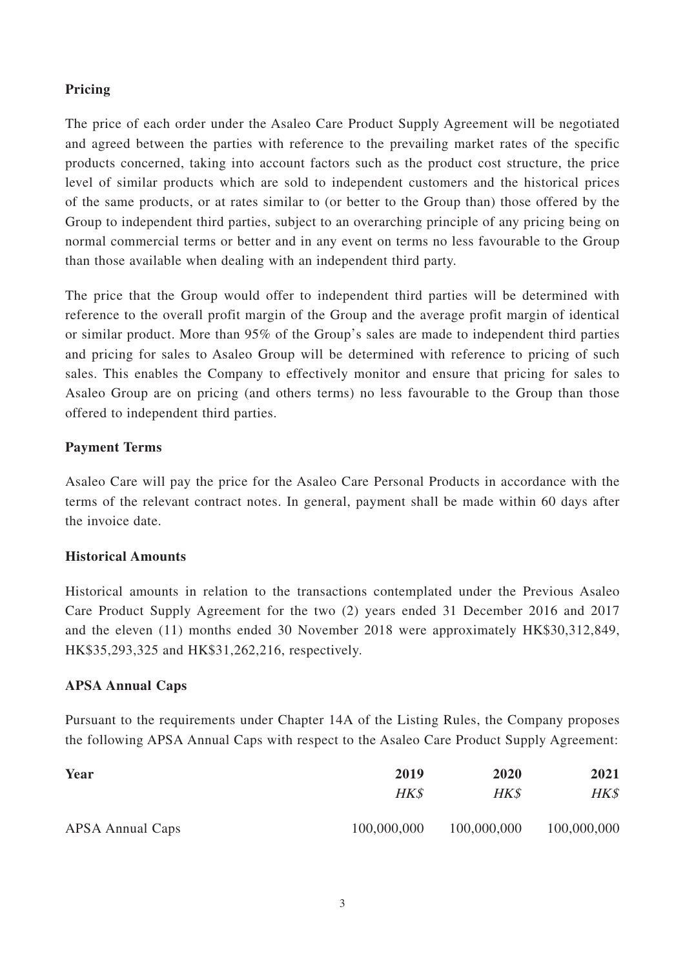## **Pricing**

The price of each order under the Asaleo Care Product Supply Agreement will be negotiated and agreed between the parties with reference to the prevailing market rates of the specific products concerned, taking into account factors such as the product cost structure, the price level of similar products which are sold to independent customers and the historical prices of the same products, or at rates similar to (or better to the Group than) those offered by the Group to independent third parties, subject to an overarching principle of any pricing being on normal commercial terms or better and in any event on terms no less favourable to the Group than those available when dealing with an independent third party.

The price that the Group would offer to independent third parties will be determined with reference to the overall profit margin of the Group and the average profit margin of identical or similar product. More than 95% of the Group's sales are made to independent third parties and pricing for sales to Asaleo Group will be determined with reference to pricing of such sales. This enables the Company to effectively monitor and ensure that pricing for sales to Asaleo Group are on pricing (and others terms) no less favourable to the Group than those offered to independent third parties.

## **Payment Terms**

Asaleo Care will pay the price for the Asaleo Care Personal Products in accordance with the terms of the relevant contract notes. In general, payment shall be made within 60 days after the invoice date.

## **Historical Amounts**

Historical amounts in relation to the transactions contemplated under the Previous Asaleo Care Product Supply Agreement for the two (2) years ended 31 December 2016 and 2017 and the eleven (11) months ended 30 November 2018 were approximately HK\$30,312,849, HK\$35,293,325 and HK\$31,262,216, respectively.

#### **APSA Annual Caps**

Pursuant to the requirements under Chapter 14A of the Listing Rules, the Company proposes the following APSA Annual Caps with respect to the Asaleo Care Product Supply Agreement:

| Year                    | 2019        | 2020        | 2021        |
|-------------------------|-------------|-------------|-------------|
|                         | HK\$        | HK\$        | HK\$        |
| <b>APSA Annual Caps</b> | 100,000,000 | 100,000,000 | 100,000,000 |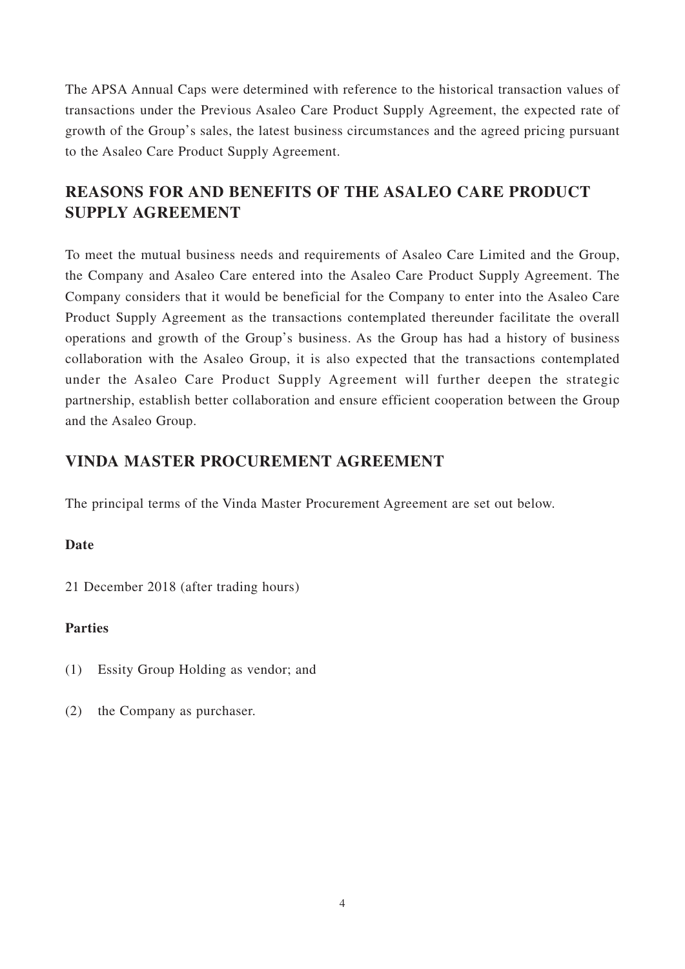The APSA Annual Caps were determined with reference to the historical transaction values of transactions under the Previous Asaleo Care Product Supply Agreement, the expected rate of growth of the Group's sales, the latest business circumstances and the agreed pricing pursuant to the Asaleo Care Product Supply Agreement.

# **REASONS FOR AND BENEFITS OF THE ASALEO CARE PRODUCT SUPPLY AGREEMENT**

To meet the mutual business needs and requirements of Asaleo Care Limited and the Group, the Company and Asaleo Care entered into the Asaleo Care Product Supply Agreement. The Company considers that it would be beneficial for the Company to enter into the Asaleo Care Product Supply Agreement as the transactions contemplated thereunder facilitate the overall operations and growth of the Group's business. As the Group has had a history of business collaboration with the Asaleo Group, it is also expected that the transactions contemplated under the Asaleo Care Product Supply Agreement will further deepen the strategic partnership, establish better collaboration and ensure efficient cooperation between the Group and the Asaleo Group.

## **VINDA MASTER PROCUREMENT AGREEMENT**

The principal terms of the Vinda Master Procurement Agreement are set out below.

## **Date**

21 December 2018 (after trading hours)

## **Parties**

- (1) Essity Group Holding as vendor; and
- (2) the Company as purchaser.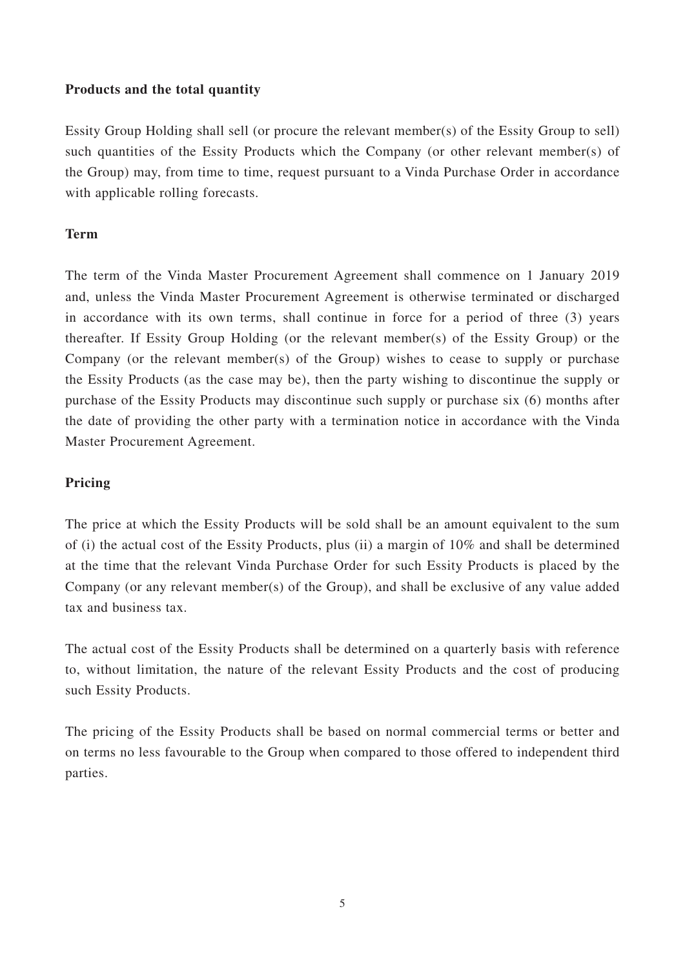### **Products and the total quantity**

Essity Group Holding shall sell (or procure the relevant member(s) of the Essity Group to sell) such quantities of the Essity Products which the Company (or other relevant member(s) of the Group) may, from time to time, request pursuant to a Vinda Purchase Order in accordance with applicable rolling forecasts.

## **Term**

The term of the Vinda Master Procurement Agreement shall commence on 1 January 2019 and, unless the Vinda Master Procurement Agreement is otherwise terminated or discharged in accordance with its own terms, shall continue in force for a period of three (3) years thereafter. If Essity Group Holding (or the relevant member(s) of the Essity Group) or the Company (or the relevant member(s) of the Group) wishes to cease to supply or purchase the Essity Products (as the case may be), then the party wishing to discontinue the supply or purchase of the Essity Products may discontinue such supply or purchase six (6) months after the date of providing the other party with a termination notice in accordance with the Vinda Master Procurement Agreement.

### **Pricing**

The price at which the Essity Products will be sold shall be an amount equivalent to the sum of (i) the actual cost of the Essity Products, plus (ii) a margin of 10% and shall be determined at the time that the relevant Vinda Purchase Order for such Essity Products is placed by the Company (or any relevant member(s) of the Group), and shall be exclusive of any value added tax and business tax.

The actual cost of the Essity Products shall be determined on a quarterly basis with reference to, without limitation, the nature of the relevant Essity Products and the cost of producing such Essity Products.

The pricing of the Essity Products shall be based on normal commercial terms or better and on terms no less favourable to the Group when compared to those offered to independent third parties.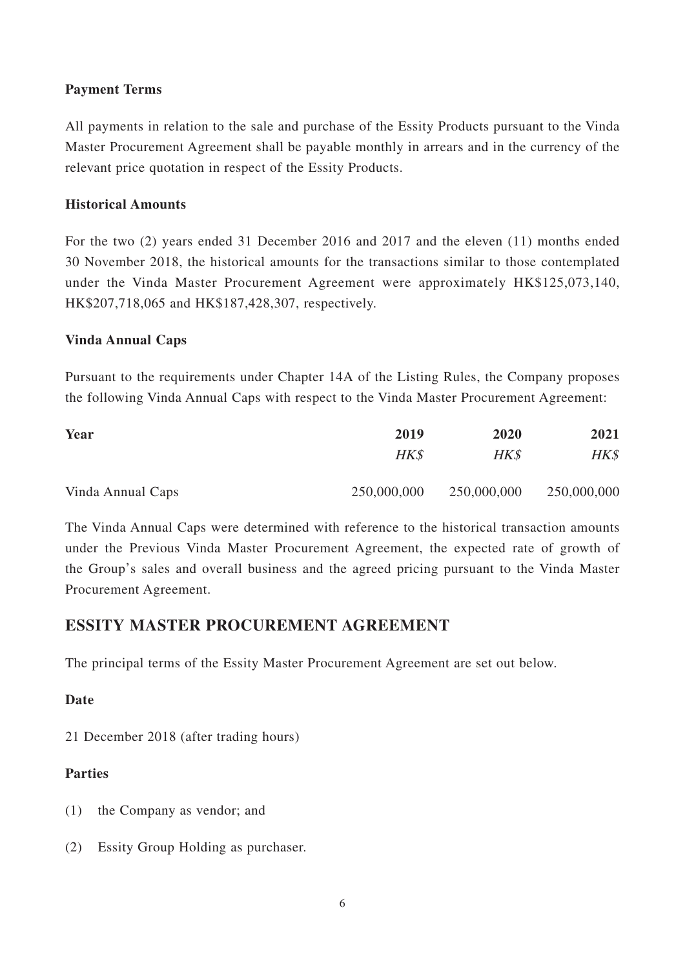## **Payment Terms**

All payments in relation to the sale and purchase of the Essity Products pursuant to the Vinda Master Procurement Agreement shall be payable monthly in arrears and in the currency of the relevant price quotation in respect of the Essity Products.

## **Historical Amounts**

For the two (2) years ended 31 December 2016 and 2017 and the eleven (11) months ended 30 November 2018, the historical amounts for the transactions similar to those contemplated under the Vinda Master Procurement Agreement were approximately HK\$125,073,140, HK\$207,718,065 and HK\$187,428,307, respectively.

## **Vinda Annual Caps**

Pursuant to the requirements under Chapter 14A of the Listing Rules, the Company proposes the following Vinda Annual Caps with respect to the Vinda Master Procurement Agreement:

| Year              | 2019        | 2020        | 2021        |
|-------------------|-------------|-------------|-------------|
|                   | HK\$        | HK\$        | HK\$        |
| Vinda Annual Caps | 250,000,000 | 250,000,000 | 250,000,000 |

The Vinda Annual Caps were determined with reference to the historical transaction amounts under the Previous Vinda Master Procurement Agreement, the expected rate of growth of the Group's sales and overall business and the agreed pricing pursuant to the Vinda Master Procurement Agreement.

## **ESSITY MASTER PROCUREMENT AGREEMENT**

The principal terms of the Essity Master Procurement Agreement are set out below.

## **Date**

21 December 2018 (after trading hours)

## **Parties**

- (1) the Company as vendor; and
- (2) Essity Group Holding as purchaser.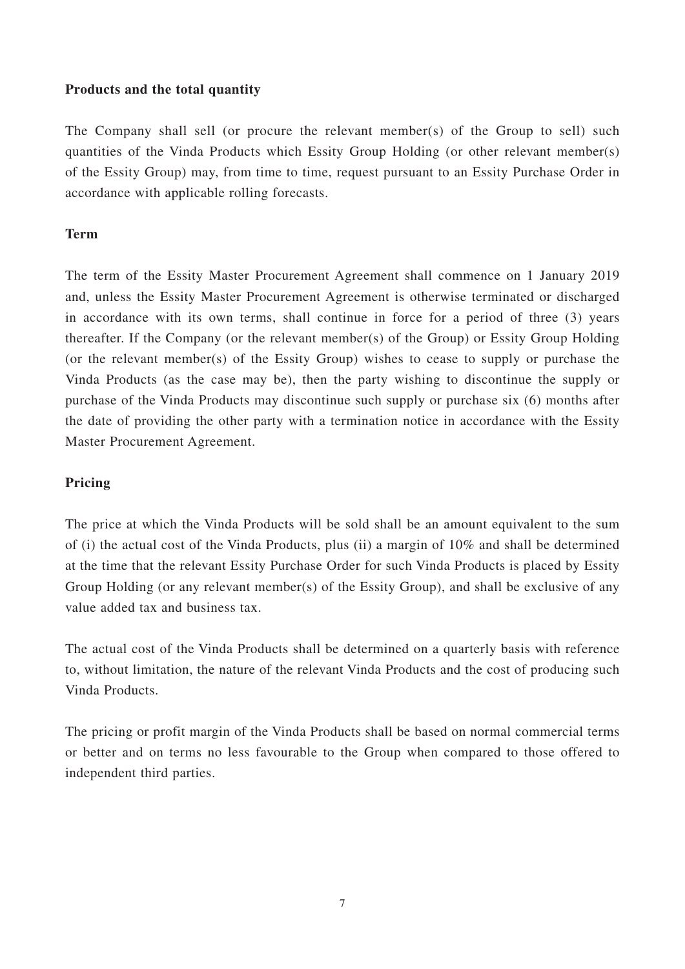### **Products and the total quantity**

The Company shall sell (or procure the relevant member(s) of the Group to sell) such quantities of the Vinda Products which Essity Group Holding (or other relevant member(s) of the Essity Group) may, from time to time, request pursuant to an Essity Purchase Order in accordance with applicable rolling forecasts.

## **Term**

The term of the Essity Master Procurement Agreement shall commence on 1 January 2019 and, unless the Essity Master Procurement Agreement is otherwise terminated or discharged in accordance with its own terms, shall continue in force for a period of three (3) years thereafter. If the Company (or the relevant member(s) of the Group) or Essity Group Holding (or the relevant member(s) of the Essity Group) wishes to cease to supply or purchase the Vinda Products (as the case may be), then the party wishing to discontinue the supply or purchase of the Vinda Products may discontinue such supply or purchase six (6) months after the date of providing the other party with a termination notice in accordance with the Essity Master Procurement Agreement.

### **Pricing**

The price at which the Vinda Products will be sold shall be an amount equivalent to the sum of (i) the actual cost of the Vinda Products, plus (ii) a margin of 10% and shall be determined at the time that the relevant Essity Purchase Order for such Vinda Products is placed by Essity Group Holding (or any relevant member(s) of the Essity Group), and shall be exclusive of any value added tax and business tax.

The actual cost of the Vinda Products shall be determined on a quarterly basis with reference to, without limitation, the nature of the relevant Vinda Products and the cost of producing such Vinda Products.

The pricing or profit margin of the Vinda Products shall be based on normal commercial terms or better and on terms no less favourable to the Group when compared to those offered to independent third parties.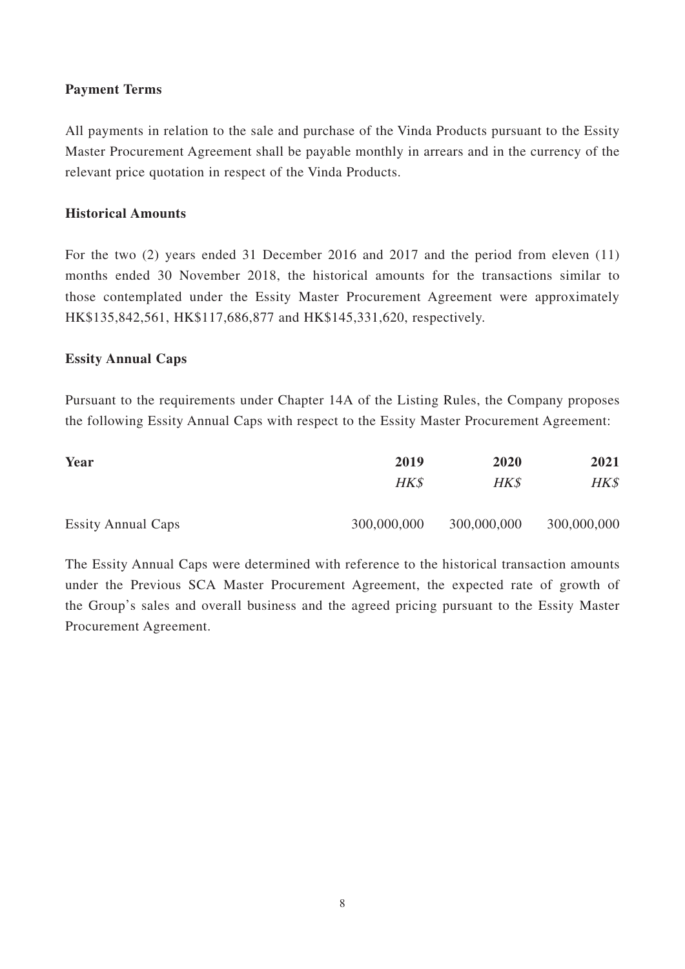## **Payment Terms**

All payments in relation to the sale and purchase of the Vinda Products pursuant to the Essity Master Procurement Agreement shall be payable monthly in arrears and in the currency of the relevant price quotation in respect of the Vinda Products.

## **Historical Amounts**

For the two (2) years ended 31 December 2016 and 2017 and the period from eleven (11) months ended 30 November 2018, the historical amounts for the transactions similar to those contemplated under the Essity Master Procurement Agreement were approximately HK\$135,842,561, HK\$117,686,877 and HK\$145,331,620, respectively.

### **Essity Annual Caps**

Pursuant to the requirements under Chapter 14A of the Listing Rules, the Company proposes the following Essity Annual Caps with respect to the Essity Master Procurement Agreement:

| Year                      | 2019        | 2020        | 2021        |
|---------------------------|-------------|-------------|-------------|
|                           | HK\$        | HK\$        | HK\$        |
| <b>Essity Annual Caps</b> | 300,000,000 | 300,000,000 | 300,000,000 |

The Essity Annual Caps were determined with reference to the historical transaction amounts under the Previous SCA Master Procurement Agreement, the expected rate of growth of the Group's sales and overall business and the agreed pricing pursuant to the Essity Master Procurement Agreement.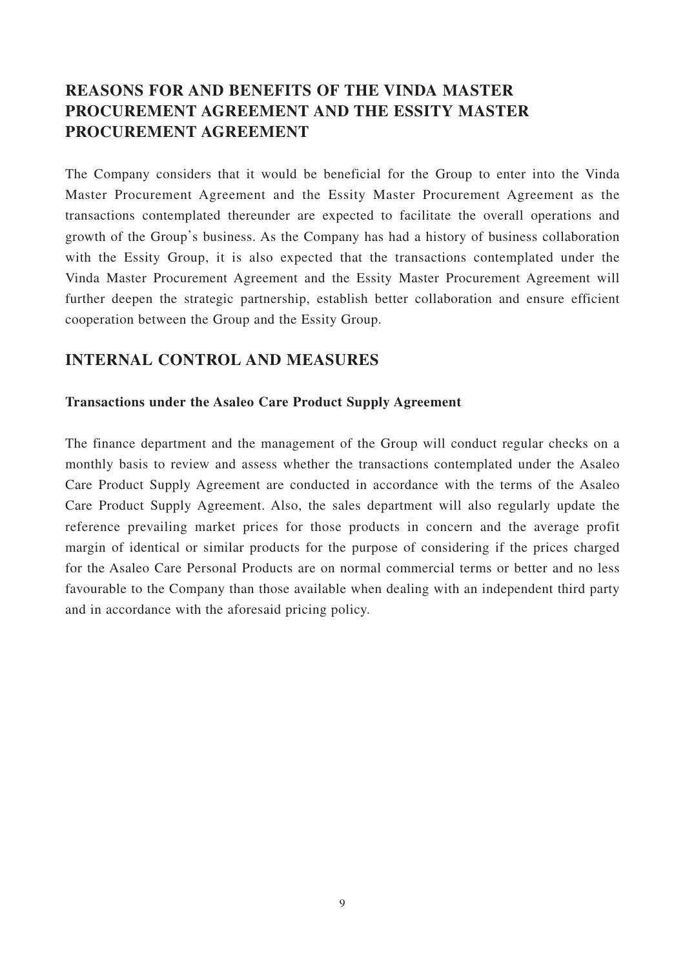# **REASONS FOR AND BENEFITS OF THE VINDA MASTER PROCUREMENT AGREEMENT AND THE ESSITY MASTER PROCUREMENT AGREEMENT**

The Company considers that it would be beneficial for the Group to enter into the Vinda Master Procurement Agreement and the Essity Master Procurement Agreement as the transactions contemplated thereunder are expected to facilitate the overall operations and growth of the Group's business. As the Company has had a history of business collaboration with the Essity Group, it is also expected that the transactions contemplated under the Vinda Master Procurement Agreement and the Essity Master Procurement Agreement will further deepen the strategic partnership, establish better collaboration and ensure efficient cooperation between the Group and the Essity Group.

## **INTERNAL CONTROL AND MEASURES**

#### **Transactions under the Asaleo Care Product Supply Agreement**

The finance department and the management of the Group will conduct regular checks on a monthly basis to review and assess whether the transactions contemplated under the Asaleo Care Product Supply Agreement are conducted in accordance with the terms of the Asaleo Care Product Supply Agreement. Also, the sales department will also regularly update the reference prevailing market prices for those products in concern and the average profit margin of identical or similar products for the purpose of considering if the prices charged for the Asaleo Care Personal Products are on normal commercial terms or better and no less favourable to the Company than those available when dealing with an independent third party and in accordance with the aforesaid pricing policy.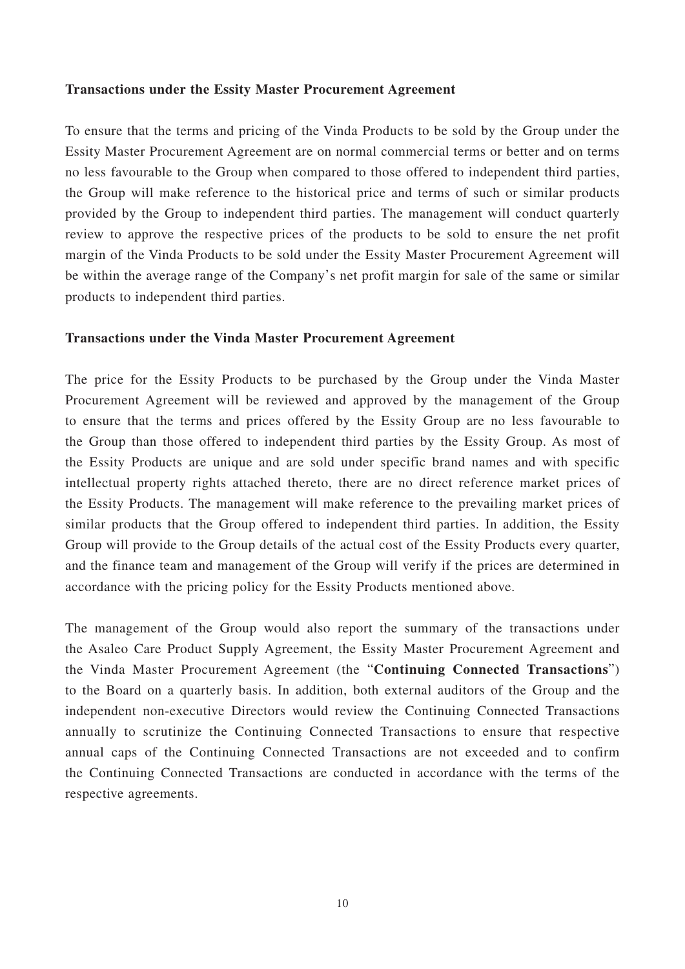#### **Transactions under the Essity Master Procurement Agreement**

To ensure that the terms and pricing of the Vinda Products to be sold by the Group under the Essity Master Procurement Agreement are on normal commercial terms or better and on terms no less favourable to the Group when compared to those offered to independent third parties, the Group will make reference to the historical price and terms of such or similar products provided by the Group to independent third parties. The management will conduct quarterly review to approve the respective prices of the products to be sold to ensure the net profit margin of the Vinda Products to be sold under the Essity Master Procurement Agreement will be within the average range of the Company's net profit margin for sale of the same or similar products to independent third parties.

#### **Transactions under the Vinda Master Procurement Agreement**

The price for the Essity Products to be purchased by the Group under the Vinda Master Procurement Agreement will be reviewed and approved by the management of the Group to ensure that the terms and prices offered by the Essity Group are no less favourable to the Group than those offered to independent third parties by the Essity Group. As most of the Essity Products are unique and are sold under specific brand names and with specific intellectual property rights attached thereto, there are no direct reference market prices of the Essity Products. The management will make reference to the prevailing market prices of similar products that the Group offered to independent third parties. In addition, the Essity Group will provide to the Group details of the actual cost of the Essity Products every quarter, and the finance team and management of the Group will verify if the prices are determined in accordance with the pricing policy for the Essity Products mentioned above.

The management of the Group would also report the summary of the transactions under the Asaleo Care Product Supply Agreement, the Essity Master Procurement Agreement and the Vinda Master Procurement Agreement (the "**Continuing Connected Transactions**") to the Board on a quarterly basis. In addition, both external auditors of the Group and the independent non-executive Directors would review the Continuing Connected Transactions annually to scrutinize the Continuing Connected Transactions to ensure that respective annual caps of the Continuing Connected Transactions are not exceeded and to confirm the Continuing Connected Transactions are conducted in accordance with the terms of the respective agreements.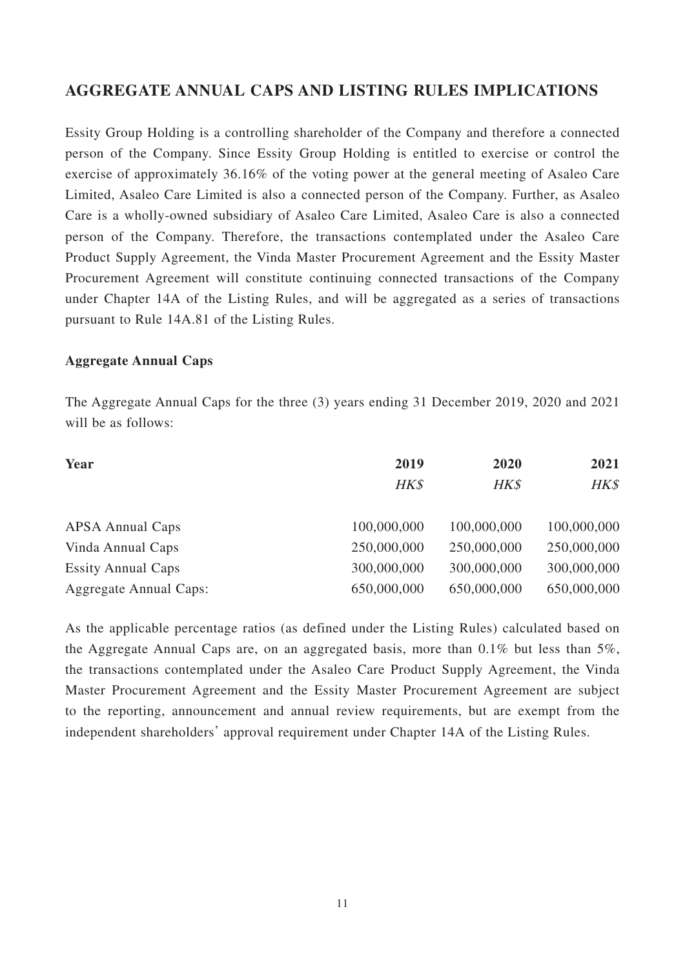## **AGGREGATE ANNUAL CAPS AND LISTING RULES IMPLICATIONS**

Essity Group Holding is a controlling shareholder of the Company and therefore a connected person of the Company. Since Essity Group Holding is entitled to exercise or control the exercise of approximately 36.16% of the voting power at the general meeting of Asaleo Care Limited, Asaleo Care Limited is also a connected person of the Company. Further, as Asaleo Care is a wholly-owned subsidiary of Asaleo Care Limited, Asaleo Care is also a connected person of the Company. Therefore, the transactions contemplated under the Asaleo Care Product Supply Agreement, the Vinda Master Procurement Agreement and the Essity Master Procurement Agreement will constitute continuing connected transactions of the Company under Chapter 14A of the Listing Rules, and will be aggregated as a series of transactions pursuant to Rule 14A.81 of the Listing Rules.

#### **Aggregate Annual Caps**

The Aggregate Annual Caps for the three (3) years ending 31 December 2019, 2020 and 2021 will be as follows:

| Year                          | 2019        | 2020<br>HK\$ | 2021<br>HK\$ |
|-------------------------------|-------------|--------------|--------------|
|                               | HK\$        |              |              |
| <b>APSA Annual Caps</b>       | 100,000,000 | 100,000,000  | 100,000,000  |
| Vinda Annual Caps             | 250,000,000 | 250,000,000  | 250,000,000  |
| <b>Essity Annual Caps</b>     | 300,000,000 | 300,000,000  | 300,000,000  |
| <b>Aggregate Annual Caps:</b> | 650,000,000 | 650,000,000  | 650,000,000  |

As the applicable percentage ratios (as defined under the Listing Rules) calculated based on the Aggregate Annual Caps are, on an aggregated basis, more than  $0.1\%$  but less than  $5\%$ . the transactions contemplated under the Asaleo Care Product Supply Agreement, the Vinda Master Procurement Agreement and the Essity Master Procurement Agreement are subject to the reporting, announcement and annual review requirements, but are exempt from the independent shareholders' approval requirement under Chapter 14A of the Listing Rules.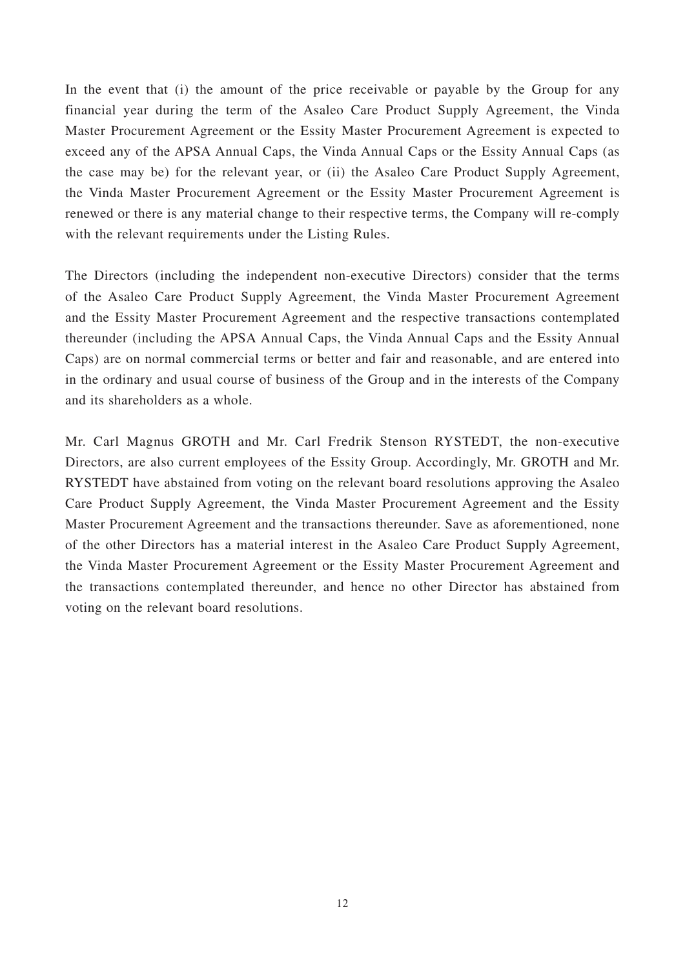In the event that (i) the amount of the price receivable or payable by the Group for any financial year during the term of the Asaleo Care Product Supply Agreement, the Vinda Master Procurement Agreement or the Essity Master Procurement Agreement is expected to exceed any of the APSA Annual Caps, the Vinda Annual Caps or the Essity Annual Caps (as the case may be) for the relevant year, or (ii) the Asaleo Care Product Supply Agreement, the Vinda Master Procurement Agreement or the Essity Master Procurement Agreement is renewed or there is any material change to their respective terms, the Company will re-comply with the relevant requirements under the Listing Rules.

The Directors (including the independent non-executive Directors) consider that the terms of the Asaleo Care Product Supply Agreement, the Vinda Master Procurement Agreement and the Essity Master Procurement Agreement and the respective transactions contemplated thereunder (including the APSA Annual Caps, the Vinda Annual Caps and the Essity Annual Caps) are on normal commercial terms or better and fair and reasonable, and are entered into in the ordinary and usual course of business of the Group and in the interests of the Company and its shareholders as a whole.

Mr. Carl Magnus GROTH and Mr. Carl Fredrik Stenson RYSTEDT, the non-executive Directors, are also current employees of the Essity Group. Accordingly, Mr. GROTH and Mr. RYSTEDT have abstained from voting on the relevant board resolutions approving the Asaleo Care Product Supply Agreement, the Vinda Master Procurement Agreement and the Essity Master Procurement Agreement and the transactions thereunder. Save as aforementioned, none of the other Directors has a material interest in the Asaleo Care Product Supply Agreement, the Vinda Master Procurement Agreement or the Essity Master Procurement Agreement and the transactions contemplated thereunder, and hence no other Director has abstained from voting on the relevant board resolutions.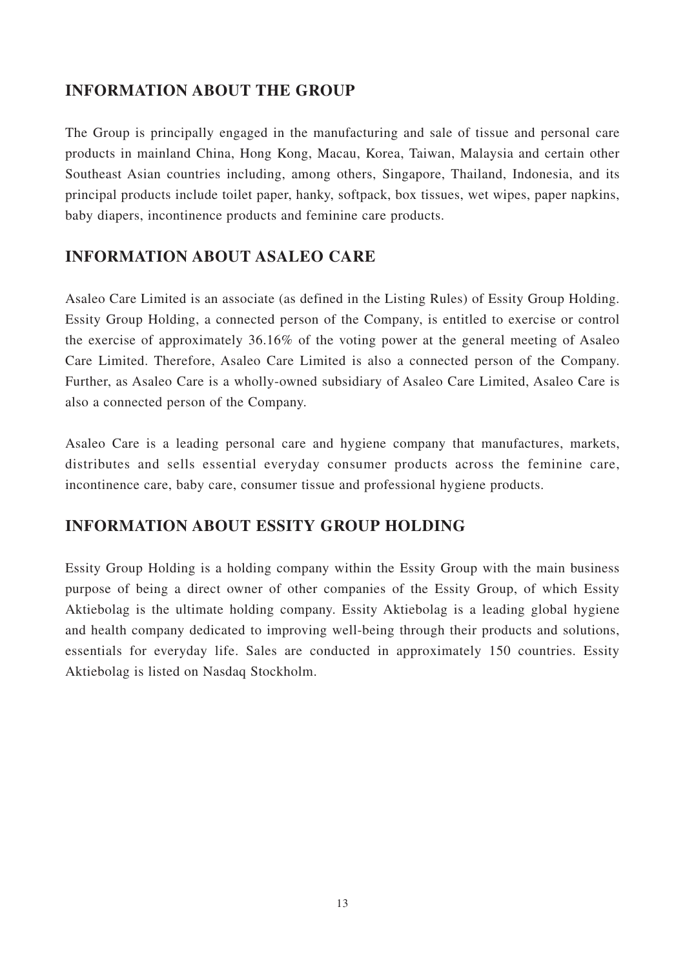# **INFORMATION ABOUT THE GROUP**

The Group is principally engaged in the manufacturing and sale of tissue and personal care products in mainland China, Hong Kong, Macau, Korea, Taiwan, Malaysia and certain other Southeast Asian countries including, among others, Singapore, Thailand, Indonesia, and its principal products include toilet paper, hanky, softpack, box tissues, wet wipes, paper napkins, baby diapers, incontinence products and feminine care products.

# **INFORMATION ABOUT ASALEO CARE**

Asaleo Care Limited is an associate (as defined in the Listing Rules) of Essity Group Holding. Essity Group Holding, a connected person of the Company, is entitled to exercise or control the exercise of approximately 36.16% of the voting power at the general meeting of Asaleo Care Limited. Therefore, Asaleo Care Limited is also a connected person of the Company. Further, as Asaleo Care is a wholly-owned subsidiary of Asaleo Care Limited, Asaleo Care is also a connected person of the Company.

Asaleo Care is a leading personal care and hygiene company that manufactures, markets, distributes and sells essential everyday consumer products across the feminine care, incontinence care, baby care, consumer tissue and professional hygiene products.

# **INFORMATION ABOUT ESSITY GROUP HOLDING**

Essity Group Holding is a holding company within the Essity Group with the main business purpose of being a direct owner of other companies of the Essity Group, of which Essity Aktiebolag is the ultimate holding company. Essity Aktiebolag is a leading global hygiene and health company dedicated to improving well-being through their products and solutions, essentials for everyday life. Sales are conducted in approximately 150 countries. Essity Aktiebolag is listed on Nasdaq Stockholm.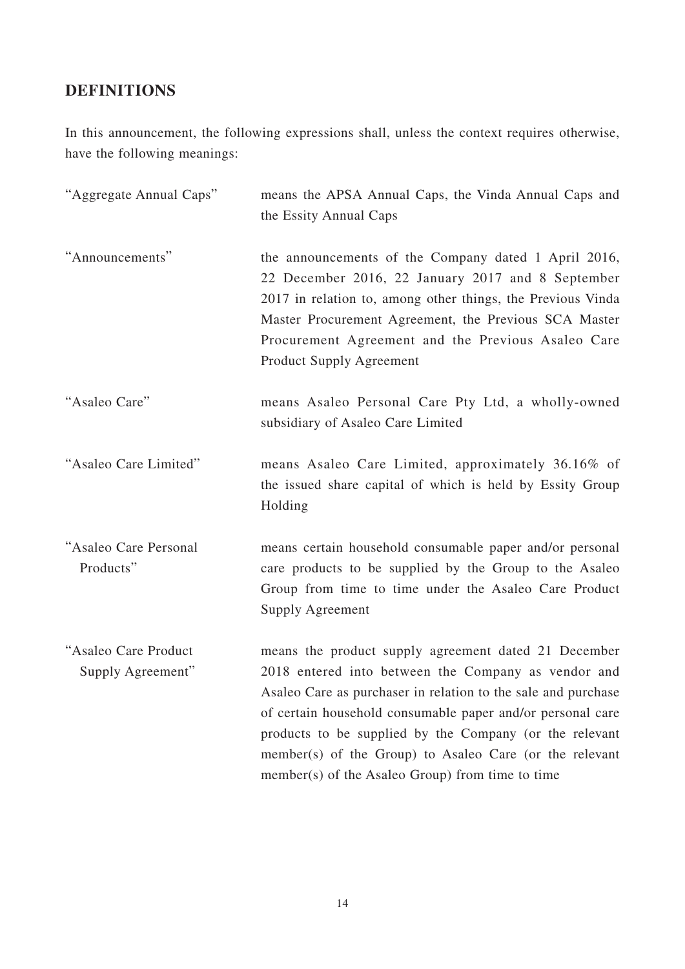# **DEFINITIONS**

In this announcement, the following expressions shall, unless the context requires otherwise, have the following meanings:

| "Aggregate Annual Caps"                   | means the APSA Annual Caps, the Vinda Annual Caps and<br>the Essity Annual Caps                                                                                                                                                                                                                                                                                                                                      |
|-------------------------------------------|----------------------------------------------------------------------------------------------------------------------------------------------------------------------------------------------------------------------------------------------------------------------------------------------------------------------------------------------------------------------------------------------------------------------|
| "Announcements"                           | the announcements of the Company dated 1 April 2016,<br>22 December 2016, 22 January 2017 and 8 September<br>2017 in relation to, among other things, the Previous Vinda<br>Master Procurement Agreement, the Previous SCA Master<br>Procurement Agreement and the Previous Asaleo Care<br><b>Product Supply Agreement</b>                                                                                           |
| "Asaleo Care"                             | means Asaleo Personal Care Pty Ltd, a wholly-owned<br>subsidiary of Asaleo Care Limited                                                                                                                                                                                                                                                                                                                              |
| "Asaleo Care Limited"                     | means Asaleo Care Limited, approximately 36.16% of<br>the issued share capital of which is held by Essity Group<br>Holding                                                                                                                                                                                                                                                                                           |
| "Asaleo Care Personal<br>Products"        | means certain household consumable paper and/or personal<br>care products to be supplied by the Group to the Asaleo<br>Group from time to time under the Asaleo Care Product<br>Supply Agreement                                                                                                                                                                                                                     |
| "Asaleo Care Product<br>Supply Agreement" | means the product supply agreement dated 21 December<br>2018 entered into between the Company as vendor and<br>Asaleo Care as purchaser in relation to the sale and purchase<br>of certain household consumable paper and/or personal care<br>products to be supplied by the Company (or the relevant<br>member(s) of the Group) to Asaleo Care (or the relevant<br>member(s) of the Asaleo Group) from time to time |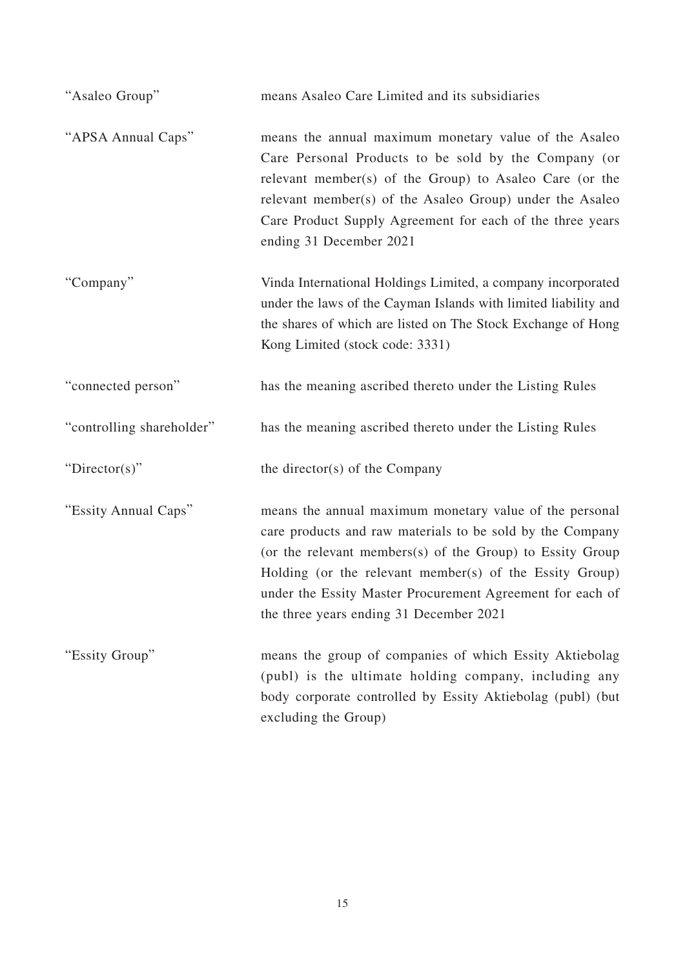| "Asaleo Group"            | means Asaleo Care Limited and its subsidiaries                                                                                                                                                                                                                                                                                                       |
|---------------------------|------------------------------------------------------------------------------------------------------------------------------------------------------------------------------------------------------------------------------------------------------------------------------------------------------------------------------------------------------|
| "APSA Annual Caps"        | means the annual maximum monetary value of the Asaleo<br>Care Personal Products to be sold by the Company (or<br>relevant member(s) of the Group) to Asaleo Care (or the<br>relevant member(s) of the Asaleo Group) under the Asaleo<br>Care Product Supply Agreement for each of the three years<br>ending 31 December 2021                         |
| "Company"                 | Vinda International Holdings Limited, a company incorporated<br>under the laws of the Cayman Islands with limited liability and<br>the shares of which are listed on The Stock Exchange of Hong<br>Kong Limited (stock code: 3331)                                                                                                                   |
| "connected person"        | has the meaning ascribed thereto under the Listing Rules                                                                                                                                                                                                                                                                                             |
| "controlling shareholder" | has the meaning ascribed thereto under the Listing Rules                                                                                                                                                                                                                                                                                             |
| " $Directory$ "           | the director(s) of the Company                                                                                                                                                                                                                                                                                                                       |
| "Essity Annual Caps"      | means the annual maximum monetary value of the personal<br>care products and raw materials to be sold by the Company<br>(or the relevant members(s) of the Group) to Essity Group<br>Holding (or the relevant member(s) of the Essity Group)<br>under the Essity Master Procurement Agreement for each of<br>the three years ending 31 December 2021 |
| "Essity Group"            | means the group of companies of which Essity Aktiebolag<br>(publ) is the ultimate holding company, including any<br>body corporate controlled by Essity Aktiebolag (publ) (but<br>excluding the Group)                                                                                                                                               |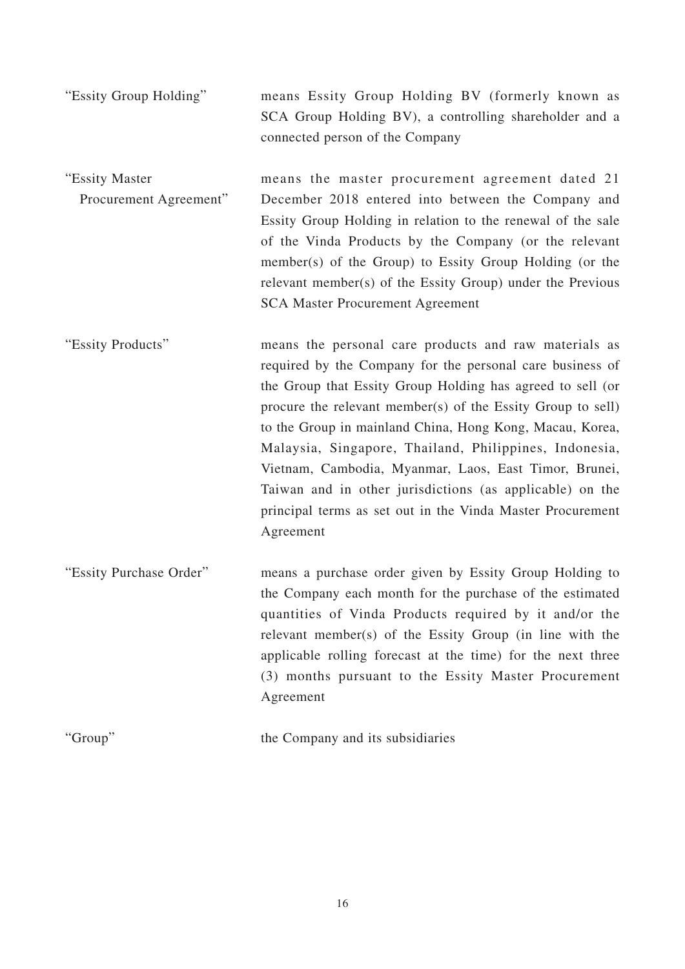- "Essity Group Holding" means Essity Group Holding BV (formerly known as SCA Group Holding BV), a controlling shareholder and a connected person of the Company
- "Essity Master Procurement Agreement" means the master procurement agreement dated 21 December 2018 entered into between the Company and Essity Group Holding in relation to the renewal of the sale of the Vinda Products by the Company (or the relevant member(s) of the Group) to Essity Group Holding (or the relevant member(s) of the Essity Group) under the Previous SCA Master Procurement Agreement
- "Essity Products" means the personal care products and raw materials as required by the Company for the personal care business of the Group that Essity Group Holding has agreed to sell (or procure the relevant member(s) of the Essity Group to sell) to the Group in mainland China, Hong Kong, Macau, Korea, Malaysia, Singapore, Thailand, Philippines, Indonesia, Vietnam, Cambodia, Myanmar, Laos, East Timor, Brunei, Taiwan and in other jurisdictions (as applicable) on the principal terms as set out in the Vinda Master Procurement Agreement
- "Essity Purchase Order" means a purchase order given by Essity Group Holding to the Company each month for the purchase of the estimated quantities of Vinda Products required by it and/or the relevant member(s) of the Essity Group (in line with the applicable rolling forecast at the time) for the next three (3) months pursuant to the Essity Master Procurement Agreement
- "Group" the Company and its subsidiaries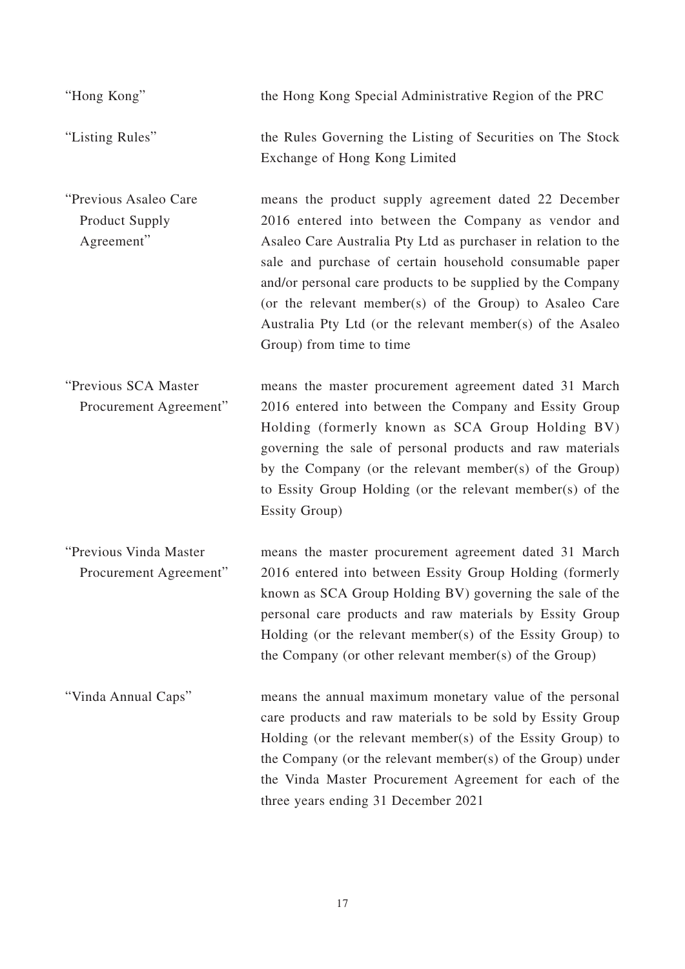| "Hong Kong"                                                  | the Hong Kong Special Administrative Region of the PRC                                                                                                                                                                                                                                                                                                                                                                                                      |
|--------------------------------------------------------------|-------------------------------------------------------------------------------------------------------------------------------------------------------------------------------------------------------------------------------------------------------------------------------------------------------------------------------------------------------------------------------------------------------------------------------------------------------------|
| "Listing Rules"                                              | the Rules Governing the Listing of Securities on The Stock<br>Exchange of Hong Kong Limited                                                                                                                                                                                                                                                                                                                                                                 |
| "Previous Asaleo Care<br><b>Product Supply</b><br>Agreement" | means the product supply agreement dated 22 December<br>2016 entered into between the Company as vendor and<br>Asaleo Care Australia Pty Ltd as purchaser in relation to the<br>sale and purchase of certain household consumable paper<br>and/or personal care products to be supplied by the Company<br>(or the relevant member(s) of the Group) to Asaleo Care<br>Australia Pty Ltd (or the relevant member(s) of the Asaleo<br>Group) from time to time |
| "Previous SCA Master<br>Procurement Agreement"               | means the master procurement agreement dated 31 March<br>2016 entered into between the Company and Essity Group<br>Holding (formerly known as SCA Group Holding BV)<br>governing the sale of personal products and raw materials<br>by the Company (or the relevant member(s) of the Group)<br>to Essity Group Holding (or the relevant member(s) of the<br><b>Essity Group</b> )                                                                           |
| "Previous Vinda Master<br>Procurement Agreement"             | means the master procurement agreement dated 31 March<br>2016 entered into between Essity Group Holding (formerly<br>known as SCA Group Holding BV) governing the sale of the<br>personal care products and raw materials by Essity Group<br>Holding (or the relevant member(s) of the Essity Group) to<br>the Company (or other relevant member(s) of the Group)                                                                                           |
| "Vinda Annual Caps"                                          | means the annual maximum monetary value of the personal<br>care products and raw materials to be sold by Essity Group<br>Holding (or the relevant member(s) of the Essity Group) to<br>the Company (or the relevant member(s) of the Group) under<br>the Vinda Master Procurement Agreement for each of the<br>three years ending 31 December 2021                                                                                                          |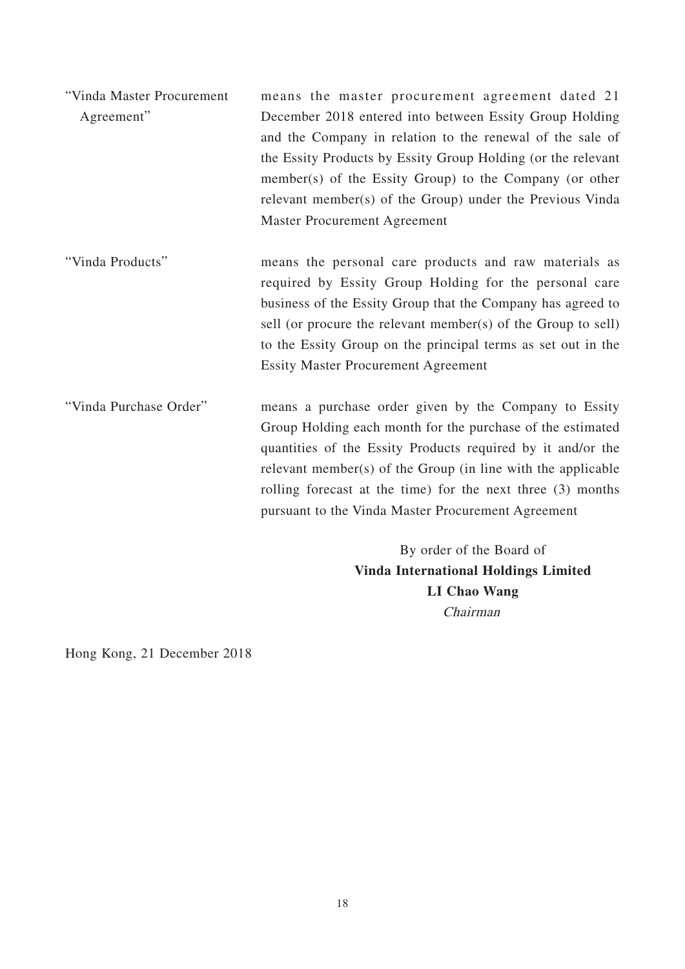| "Vinda Master Procurement | means the master procurement agreement dated 21               |
|---------------------------|---------------------------------------------------------------|
| Agreement"                | December 2018 entered into between Essity Group Holding       |
|                           | and the Company in relation to the renewal of the sale of     |
|                           | the Essity Products by Essity Group Holding (or the relevant  |
|                           | member(s) of the Essity Group) to the Company (or other       |
|                           | relevant member(s) of the Group) under the Previous Vinda     |
|                           | <b>Master Procurement Agreement</b>                           |
| "Vinda Products"          | means the personal care products and raw materials as         |
|                           | required by Essity Group Holding for the personal care        |
|                           | business of the Essity Group that the Company has agreed to   |
|                           | sell (or procure the relevant member(s) of the Group to sell) |
|                           | to the Essity Group on the principal terms as set out in the  |
|                           | <b>Essity Master Procurement Agreement</b>                    |
| "Vinda Purchase Order"    | means a purchase order given by the Company to Essity         |
|                           | Group Holding each month for the purchase of the estimated    |
|                           | quantities of the Essity Products required by it and/or the   |
|                           | relevant member(s) of the Group (in line with the applicable  |
|                           | rolling forecast at the time) for the next three (3) months   |
|                           | pursuant to the Vinda Master Procurement Agreement            |
|                           | By order of the Board of                                      |
|                           | <b>THE REAL PROPERTY OF REAL PROPERTY OF A ST</b>             |

**Vinda International Holdings Limited LI Chao Wang** Chairman

Hong Kong, 21 December 2018